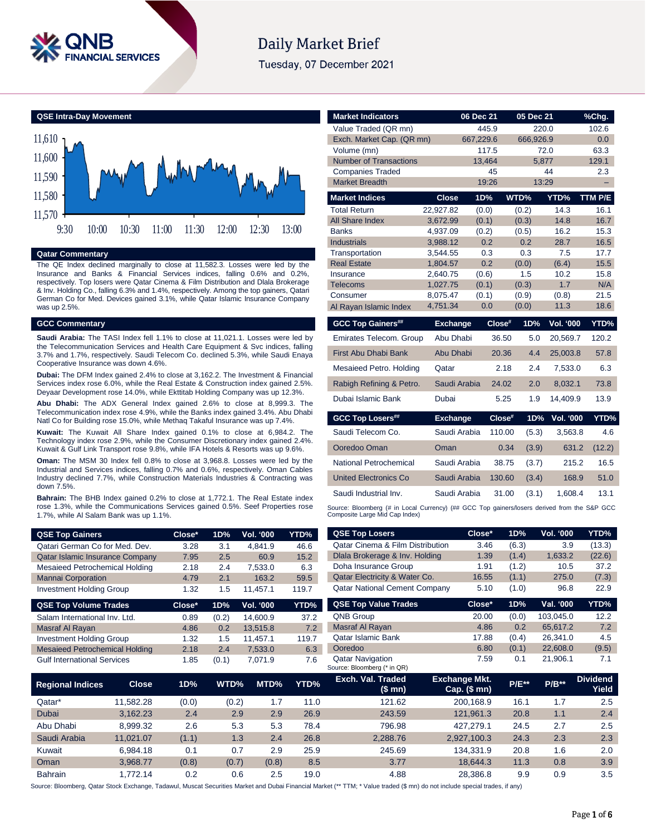

# Daily Market Brief

Tuesday, 07 December 2021

#### **QSE Intra-Day Movement**



# **Qatar Commentary**

The QE Index declined marginally to close at 11,582.3. Losses were led by the Insurance and Banks & Financial Services indices, falling 0.6% and 0.2%, respectively. Top losers were Qatar Cinema & Film Distribution and Dlala Brokerage & Inv. Holding Co., falling 6.3% and 1.4%, respectively. Among the top gainers, Qatari German Co for Med. Devices gained 3.1%, while Qatar Islamic Insurance Company was up 2.5%.

#### **GCC Commentary**

**Saudi Arabia:** The TASI Index fell 1.1% to close at 11,021.1. Losses were led by the Telecommunication Services and Health Care Equipment & Svc indices, falling 3.7% and 1.7%, respectively. Saudi Telecom Co. declined 5.3%, while Saudi Enaya Cooperative Insurance was down 4.6%.

**Dubai:** The DFM Index gained 2.4% to close at 3,162.2. The Investment & Financial Services index rose 6.0%, while the Real Estate & Construction index gained 2.5%. Deyaar Development rose 14.0%, while Ekttitab Holding Company was up 12.3%.

**Abu Dhabi:** The ADX General Index gained 2.6% to close at 8,999.3. The Telecommunication index rose 4.9%, while the Banks index gained 3.4%. Abu Dhabi Natl Co for Building rose 15.0%, while Methaq Takaful Insurance was up 7.4%.

**Kuwait:** The Kuwait All Share Index gained 0.1% to close at 6,984.2. The Technology index rose 2.9%, while the Consumer Discretionary index gained 2.4%. Kuwait & Gulf Link Transport rose 9.8%, while IFA Hotels & Resorts was up 9.6%.

**Oman:** The MSM 30 Index fell 0.8% to close at 3,968.8. Losses were led by the Industrial and Services indices, falling 0.7% and 0.6%, respectively. Oman Cables Industry declined 7.7%, while Construction Materials Industries & Contracting was down 7.5%.

**Bahrain:** The BHB Index gained 0.2% to close at 1,772.1. The Real Estate index rose 1.3%, while the Communications Services gained 0.5%. Seef Properties rose 1.7%, while Al Salam Bank was up 1.1%.

| <b>QSE Top Gainers</b>                 | Close* | 1D%   | Vol. '000 | YTD%  |
|----------------------------------------|--------|-------|-----------|-------|
| Qatari German Co for Med. Dev.         | 3.28   | 3.1   | 4.841.9   | 46.6  |
| <b>Qatar Islamic Insurance Company</b> | 7.95   | 2.5   | 60.9      | 15.2  |
| Mesaieed Petrochemical Holding         | 2.18   | 2.4   | 7,533.0   | 6.3   |
| <b>Mannai Corporation</b>              | 4.79   | 2.1   | 163.2     | 59.5  |
| <b>Investment Holding Group</b>        | 1.32   | 1.5   | 11.457.1  | 119.7 |
| <b>QSE Top Volume Trades</b>           | Close* | 1D%   | Vol. '000 | YTD%  |
| Salam International Inv. Ltd.          | 0.89   | (0.2) | 14,600.9  | 37.2  |
| Masraf Al Rayan                        | 4.86   | 0.2   | 13,515.8  | 7.2   |
| <b>Investment Holding Group</b>        | 1.32   | 1.5   | 11.457.1  | 119.7 |

| <b>Market Indicators</b>             |                      | 06 Dec 21  | 05 Dec 21       |                  | %Chg.        |
|--------------------------------------|----------------------|------------|-----------------|------------------|--------------|
| Value Traded (QR mn)                 |                      | 445.9      |                 | 220.0            | 102.6        |
| Exch. Market Cap. (QR mn)            |                      | 667,229.6  | 666,926.9       |                  | 0.0          |
| Volume (mn)                          |                      | 117.5      |                 | 72.0             | 63.3         |
| <b>Number of Transactions</b>        |                      | 13.464     |                 | 5.877            | 129.1        |
| <b>Companies Traded</b>              |                      | 45         |                 | 44               | 2.3          |
| <b>Market Breadth</b>                |                      | 19:26      |                 | 13:29            | ۳            |
| <b>Market Indices</b>                | <b>Close</b>         | 1D%        | WTD%            | YTD%             | TTM P/E      |
| <b>Total Return</b>                  | 22,927.82            | (0.0)      | (0.2)           | 14.3             | 16.1         |
| All Share Index                      | 3,672.99             | (0.1)      | (0.3)           | 14.8             | 16.7         |
| <b>Banks</b>                         | 4,937.09             | (0.2)      | (0.5)           | 16.2             | 15.3         |
| <b>Industrials</b>                   | 3.988.12             | 0.2        | 0.2             | 28.7             | 16.5         |
| Transportation<br><b>Real Estate</b> | 3.544.55             | 0.3<br>0.2 | 0.3<br>(0.0)    | 7.5              | 17.7<br>15.5 |
| Insurance                            | 1,804.57<br>2,640.75 | (0.6)      | 1.5             | (6.4)<br>10.2    | 15.8         |
| <b>Telecoms</b>                      | 1,027.75             | (0.1)      | (0.3)           | 1.7              | N/A          |
| Consumer                             | 8,075.47             | (0.1)      | (0.9)           | (0.8)            | 21.5         |
| Al Rayan Islamic Index               | 4,751.34             | 0.0        | (0.0)           | 11.3             | 18.6         |
|                                      |                      |            |                 |                  |              |
| <b>GCC Top Gainers##</b>             | <b>Exchange</b>      | $Close^*$  | 1D%             | <b>Vol. '000</b> | YTD%         |
| Emirates Telecom. Group              | Abu Dhabi            |            | 36.50<br>5.0    | 20,569.7         | 120.2        |
| First Abu Dhabi Bank                 | Abu Dhabi            |            | 20.36<br>4.4    | 25.003.8         | 57.8         |
| Mesaieed Petro. Holding              | Qatar                |            | 2.18<br>2.4     | 7,533.0          | 6.3          |
| Rabigh Refining & Petro.             | Saudi Arabia         |            | 24.02<br>2.0    | 8,032.1          | 73.8         |
| Dubai Islamic Bank                   | Dubai                |            | 1.9<br>5.25     | 14,409.9         | 13.9         |
| <b>GCC Top Losers##</b>              | <b>Exchange</b>      |            | Close#<br>1D%   | <b>Vol. '000</b> | YTD%         |
| Saudi Telecom Co.                    | Saudi Arabia         |            | 110.00<br>(5.3) | 3,563.8          | 4.6          |
| Ooredoo Oman                         | Oman                 |            | 0.34<br>(3.9)   | 631.2            | (12.2)       |
| National Petrochemical               | Saudi Arabia         |            | 38.75<br>(3.7)  | 215.2            | 16.5         |
| <b>United Electronics Co</b>         | Saudi Arabia         |            | 130.60<br>(3.4) | 168.9            | 51.0         |
| Saudi Industrial Inv.                | Saudi Arabia         |            | 31.00<br>(3.1)  | 1,608.4          | 13.1         |

| <b>QSE Top Gainers</b>                |              | Close* | 1D%   | Vol. '000 | YTD%  | <b>QSE Top Losers</b>                                                                                                                                                       | Close*                               | 1D%     | Vol. '000 | YTD%                     |
|---------------------------------------|--------------|--------|-------|-----------|-------|-----------------------------------------------------------------------------------------------------------------------------------------------------------------------------|--------------------------------------|---------|-----------|--------------------------|
| Qatari German Co for Med. Dev.        |              | 3.28   | 3.1   | 4,841.9   | 46.6  | <b>Qatar Cinema &amp; Film Distribution</b>                                                                                                                                 | 3.46                                 | (6.3)   | 3.9       | (13.3)                   |
| Qatar Islamic Insurance Company       |              | 7.95   | 2.5   | 60.9      | 15.2  | Dlala Brokerage & Inv. Holding                                                                                                                                              | 1.39                                 | (1.4)   | 1,633.2   | (22.6)                   |
| Mesaieed Petrochemical Holding        |              | 2.18   | 2.4   | 7,533.0   | 6.3   | Doha Insurance Group                                                                                                                                                        | 1.91                                 | (1.2)   | 10.5      | 37.2                     |
| <b>Mannai Corporation</b>             |              | 4.79   | 2.1   | 163.2     | 59.5  | Qatar Electricity & Water Co.                                                                                                                                               | 16.55                                | (1.1)   | 275.0     | (7.3)                    |
| <b>Investment Holding Group</b>       |              | 1.32   | 1.5   | 11,457.1  | 119.7 | <b>Qatar National Cement Company</b>                                                                                                                                        | 5.10                                 | (1.0)   | 96.8      | 22.9                     |
| <b>QSE Top Volume Trades</b>          |              | Close* | 1D%   | Vol. '000 | YTD%  | <b>QSE Top Value Trades</b>                                                                                                                                                 | Close*                               | 1D%     | Val. '000 | YTD%                     |
| Salam International Inv. Ltd.         |              | 0.89   | (0.2) | 14,600.9  | 37.2  | QNB Group                                                                                                                                                                   | 20.00                                | (0.0)   | 103,045.0 | 12.2                     |
| Masraf Al Rayan                       |              | 4.86   | 0.2   | 13,515.8  | 7.2   | Masraf Al Rayan                                                                                                                                                             | 4.86                                 | 0.2     | 65,617.2  | 7.2                      |
| <b>Investment Holding Group</b>       |              | 1.32   | 1.5   | 11,457.1  | 119.7 | <b>Qatar Islamic Bank</b>                                                                                                                                                   | 17.88                                | (0.4)   | 26,341.0  | 4.5                      |
| <b>Mesaieed Petrochemical Holding</b> |              | 2.18   | 2.4   | 7,533.0   | 6.3   | Ooredoo                                                                                                                                                                     | 6.80                                 | (0.1)   | 22,608.0  | (9.5)                    |
| <b>Gulf International Services</b>    |              | 1.85   | (0.1) | 7,071.9   | 7.6   | <b>Qatar Navigation</b><br>Source: Bloomberg (* in QR)                                                                                                                      | 7.59                                 | 0.1     | 21,906.1  | 7.1                      |
| <b>Regional Indices</b>               | <b>Close</b> | 1D%    | WTD%  | MTD%      | YTD%  | Exch. Val. Traded<br>(\$mn)                                                                                                                                                 | <b>Exchange Mkt.</b><br>Cap. $($mn)$ | $P/E**$ | $P/B**$   | <b>Dividend</b><br>Yield |
| Qatar*                                | 11,582.28    | (0.0)  | (0.2) | 1.7       | 11.0  | 121.62                                                                                                                                                                      | 200,168.9                            | 16.1    | 1.7       | 2.5                      |
| Dubai                                 | 3,162.23     | 2.4    | 2.9   | 2.9       | 26.9  | 243.59                                                                                                                                                                      | 121,961.3                            | 20.8    | 1.1       | 2.4                      |
| Abu Dhabi                             | 8,999.32     | 2.6    | 5.3   | 5.3       | 78.4  | 796.98                                                                                                                                                                      | 427,279.1                            | 24.5    | 2.7       | 2.5                      |
| Saudi Arabia                          | 11,021.07    | (1.1)  | 1.3   | 2.4       | 26.8  | 2,288.76                                                                                                                                                                    | 2,927,100.3                          | 24.3    | 2.3       | 2.3                      |
| Kuwait                                | 6,984.18     | 0.1    | 0.7   | 2.9       | 25.9  | 245.69                                                                                                                                                                      | 134,331.9                            | 20.8    | 1.6       | 2.0                      |
| Oman                                  | 3,968.77     | (0.8)  | (0.7) | (0.8)     | 8.5   | 3.77                                                                                                                                                                        | 18,644.3                             | 11.3    | 0.8       | 3.9                      |
| Bahrain                               | 1,772.14     | 0.2    | 0.6   | 2.5       | 19.0  | 4.88                                                                                                                                                                        | 28,386.8                             | 9.9     | 0.9       | 3.5                      |
|                                       |              |        |       |           |       | urree: Bloomberg, Ostar Stock Exchange, Tadawul, Muscat Securities Market and Dubai Einancial Market (** TTM: * Value traded (\$ mn) do not include special trades, if any) |                                      |         |           |                          |

Source: Bloomberg, Qatar Stock Exchange, Tadawul, Muscat Sec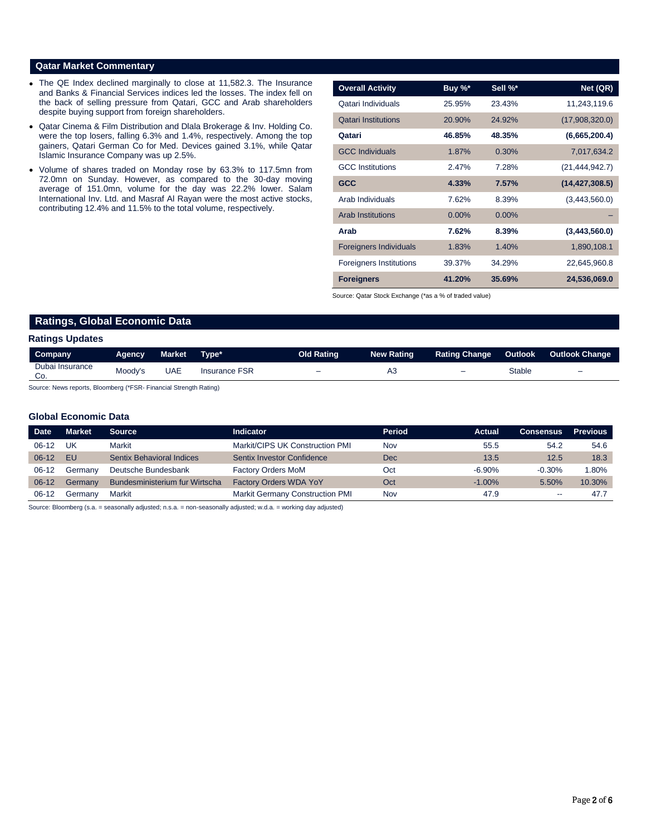# **Qatar Market Commentary**

- The QE Index declined marginally to close at 11,582.3. The Insurance and Banks & Financial Services indices led the losses. The index fell on the back of selling pressure from Qatari, GCC and Arab shareholders despite buying support from foreign shareholders.
- Qatar Cinema & Film Distribution and Dlala Brokerage & Inv. Holding Co. were the top losers, falling 6.3% and 1.4%, respectively. Among the top gainers, Qatari German Co for Med. Devices gained 3.1%, while Qatar Islamic Insurance Company was up 2.5%.
- Volume of shares traded on Monday rose by 63.3% to 117.5mn from 72.0mn on Sunday. However, as compared to the 30-day moving average of 151.0mn, volume for the day was 22.2% lower. Salam International Inv. Ltd. and Masraf Al Rayan were the most active stocks, contributing 12.4% and 11.5% to the total volume, respectively.

| <b>Overall Activity</b>        | Buy $\%^*$ | Sell %*  | Net (QR)         |
|--------------------------------|------------|----------|------------------|
| Qatari Individuals             | 25.95%     | 23.43%   | 11,243,119.6     |
| <b>Qatari Institutions</b>     | 20.90%     | 24.92%   | (17,908,320.0)   |
| Qatari                         | 46.85%     | 48.35%   | (6,665,200.4)    |
| <b>GCC Individuals</b>         | 1.87%      | 0.30%    | 7,017,634.2      |
| <b>GCC</b> Institutions        | 2.47%      | 7.28%    | (21, 444, 942.7) |
| <b>GCC</b>                     | 4.33%      | 7.57%    | (14, 427, 308.5) |
| Arab Individuals               | 7.62%      | 8.39%    | (3,443,560.0)    |
| <b>Arab Institutions</b>       | $0.00\%$   | $0.00\%$ |                  |
| Arab                           | 7.62%      | 8.39%    | (3,443,560.0)    |
| <b>Foreigners Individuals</b>  | 1.83%      | 1.40%    | 1,890,108.1      |
| <b>Foreigners Institutions</b> | 39.37%     | 34.29%   | 22,645,960.8     |
| <b>Foreigners</b>              | 41.20%     | 35.69%   | 24,536,069.0     |

Source: Qatar Stock Exchange (\*as a % of traded value)

# **Ratings, Global Economic Data**

|  | <b>Ratings Updates</b> |
|--|------------------------|
|--|------------------------|

| Company                | <b>Agency</b> | <b>Market</b> | 'Tvpe*               | <b>Old Rating</b>        | <b>New Rating</b> | <b>Rating Change</b> | Outlook | <b>Outlook Change</b>    |
|------------------------|---------------|---------------|----------------------|--------------------------|-------------------|----------------------|---------|--------------------------|
| Dubai Insurance<br>Co. | Moody's       | <b>UAE</b>    | <b>Insurance FSR</b> | $\overline{\phantom{0}}$ | A3                | -                    | Stable  | $\overline{\phantom{0}}$ |
|                        |               |               |                      |                          |                   |                      |         |                          |

Source: News reports, Bloomberg (\*FSR- Financial Strength Rating)

### **Global Economic Data**

| <b>Date</b> | Market    | <b>Source</b>                  | Indicator                       | <b>Period</b> | <b>Actual</b> | <b>Consensus</b> | <b>Previous</b> |
|-------------|-----------|--------------------------------|---------------------------------|---------------|---------------|------------------|-----------------|
| $06-12$     | UK        | Markit                         | Markit/CIPS UK Construction PMI | Nov           | 55.5          | 54.2             | 54.6            |
| $06-12$     | <b>FU</b> | Sentix Behavioral Indices      | Sentix Investor Confidence      | <b>Dec</b>    | 13.5          | 12.5             | 18.3            |
| $06-12$     | Germany   | Deutsche Bundesbank            | <b>Factory Orders MoM</b>       | Oct           | $-6.90%$      | $-0.30%$         | 1.80%           |
| $06-12$     | Germany   | Bundesministerium fur Wirtscha | <b>Factory Orders WDA YoY</b>   | Oct           | $-1.00\%$     | 5.50%            | 10.30%          |
| $06-12$     | Germany   | Markit                         | Markit Germany Construction PMI | Nov           | 47.9          | $- -$            | 47.7            |

Source: Bloomberg (s.a. = seasonally adjusted; n.s.a. = non-seasonally adjusted; w.d.a. = working day adjusted)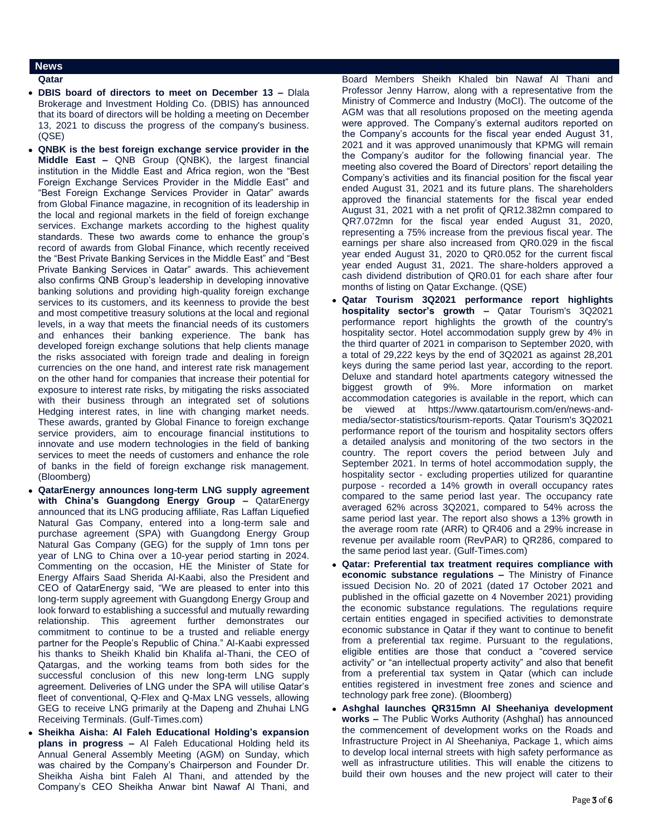#### **News**

**Qatar** 

- **DBIS board of directors to meet on December 13 –** Dlala Brokerage and Investment Holding Co. (DBIS) has announced that its board of directors will be holding a meeting on December 13, 2021 to discuss the progress of the company's business. (QSE)
- **QNBK is the best foreign exchange service provider in the Middle East –** QNB Group (QNBK), the largest financial institution in the Middle East and Africa region, won the "Best Foreign Exchange Services Provider in the Middle East" and "Best Foreign Exchange Services Provider in Qatar" awards from Global Finance magazine, in recognition of its leadership in the local and regional markets in the field of foreign exchange services. Exchange markets according to the highest quality standards. These two awards come to enhance the group's record of awards from Global Finance, which recently received the "Best Private Banking Services in the Middle East" and "Best Private Banking Services in Qatar" awards. This achievement also confirms QNB Group's leadership in developing innovative banking solutions and providing high-quality foreign exchange services to its customers, and its keenness to provide the best and most competitive treasury solutions at the local and regional levels, in a way that meets the financial needs of its customers and enhances their banking experience. The bank has developed foreign exchange solutions that help clients manage the risks associated with foreign trade and dealing in foreign currencies on the one hand, and interest rate risk management on the other hand for companies that increase their potential for exposure to interest rate risks, by mitigating the risks associated with their business through an integrated set of solutions Hedging interest rates, in line with changing market needs. These awards, granted by Global Finance to foreign exchange service providers, aim to encourage financial institutions to innovate and use modern technologies in the field of banking services to meet the needs of customers and enhance the role of banks in the field of foreign exchange risk management. (Bloomberg)
- **QatarEnergy announces long-term LNG supply agreement with China's Guangdong Energy Group –** QatarEnergy announced that its LNG producing affiliate, Ras Laffan Liquefied Natural Gas Company, entered into a long-term sale and purchase agreement (SPA) with Guangdong Energy Group Natural Gas Company (GEG) for the supply of 1mn tons per year of LNG to China over a 10-year period starting in 2024. Commenting on the occasion, HE the Minister of State for Energy Affairs Saad Sherida Al-Kaabi, also the President and CEO of QatarEnergy said, "We are pleased to enter into this long-term supply agreement with Guangdong Energy Group and look forward to establishing a successful and mutually rewarding relationship. This agreement further demonstrates our commitment to continue to be a trusted and reliable energy partner for the People's Republic of China." Al-Kaabi expressed his thanks to Sheikh Khalid bin Khalifa al-Thani, the CEO of Qatargas, and the working teams from both sides for the successful conclusion of this new long-term LNG supply agreement. Deliveries of LNG under the SPA will utilise Qatar's fleet of conventional, Q-Flex and Q-Max LNG vessels, allowing GEG to receive LNG primarily at the Dapeng and Zhuhai LNG Receiving Terminals. (Gulf-Times.com)
- **Sheikha Aisha: Al Faleh Educational Holding's expansion plans in progress –** Al Faleh Educational Holding held its Annual General Assembly Meeting (AGM) on Sunday, which was chaired by the Company's Chairperson and Founder Dr. Sheikha Aisha bint Faleh Al Thani, and attended by the Company's CEO Sheikha Anwar bint Nawaf Al Thani, and

Board Members Sheikh Khaled bin Nawaf Al Thani and Professor Jenny Harrow, along with a representative from the Ministry of Commerce and Industry (MoCI). The outcome of the AGM was that all resolutions proposed on the meeting agenda were approved. The Company's external auditors reported on the Company's accounts for the fiscal year ended August 31, 2021 and it was approved unanimously that KPMG will remain the Company's auditor for the following financial year. The meeting also covered the Board of Directors' report detailing the Company's activities and its financial position for the fiscal year ended August 31, 2021 and its future plans. The shareholders approved the financial statements for the fiscal year ended August 31, 2021 with a net profit of QR12.382mn compared to QR7.072mn for the fiscal year ended August 31, 2020, representing a 75% increase from the previous fiscal year. The earnings per share also increased from QR0.029 in the fiscal year ended August 31, 2020 to QR0.052 for the current fiscal year ended August 31, 2021. The share-holders approved a cash dividend distribution of QR0.01 for each share after four months of listing on Qatar Exchange. (QSE)

- **Qatar Tourism 3Q2021 performance report highlights hospitality sector's growth –** Qatar Tourism's 3Q2021 performance report highlights the growth of the country's hospitality sector. Hotel accommodation supply grew by 4% in the third quarter of 2021 in comparison to September 2020, with a total of 29,222 keys by the end of 3Q2021 as against 28,201 keys during the same period last year, according to the report. Deluxe and standard hotel apartments category witnessed the biggest growth of 9%. More information on market accommodation categories is available in the report, which can be viewed at https://www.qatartourism.com/en/news-andmedia/sector-statistics/tourism-reports. Qatar Tourism's 3Q2021 performance report of the tourism and hospitality sectors offers a detailed analysis and monitoring of the two sectors in the country. The report covers the period between July and September 2021. In terms of hotel accommodation supply, the hospitality sector - excluding properties utilized for quarantine purpose - recorded a 14% growth in overall occupancy rates compared to the same period last year. The occupancy rate averaged 62% across 3Q2021, compared to 54% across the same period last year. The report also shows a 13% growth in the average room rate (ARR) to QR406 and a 29% increase in revenue per available room (RevPAR) to QR286, compared to the same period last year. (Gulf-Times.com)
- **Qatar: Preferential tax treatment requires compliance with economic substance regulations –** The Ministry of Finance issued Decision No. 20 of 2021 (dated 17 October 2021 and published in the official gazette on 4 November 2021) providing the economic substance regulations. The regulations require certain entities engaged in specified activities to demonstrate economic substance in Qatar if they want to continue to benefit from a preferential tax regime. Pursuant to the regulations, eligible entities are those that conduct a "covered service activity" or "an intellectual property activity" and also that benefit from a preferential tax system in Qatar (which can include entities registered in investment free zones and science and technology park free zone). (Bloomberg)
- **Ashghal launches QR315mn Al Sheehaniya development works –** The Public Works Authority (Ashghal) has announced the commencement of development works on the Roads and Infrastructure Project in Al Sheehaniya, Package 1, which aims to develop local internal streets with high safety performance as well as infrastructure utilities. This will enable the citizens to build their own houses and the new project will cater to their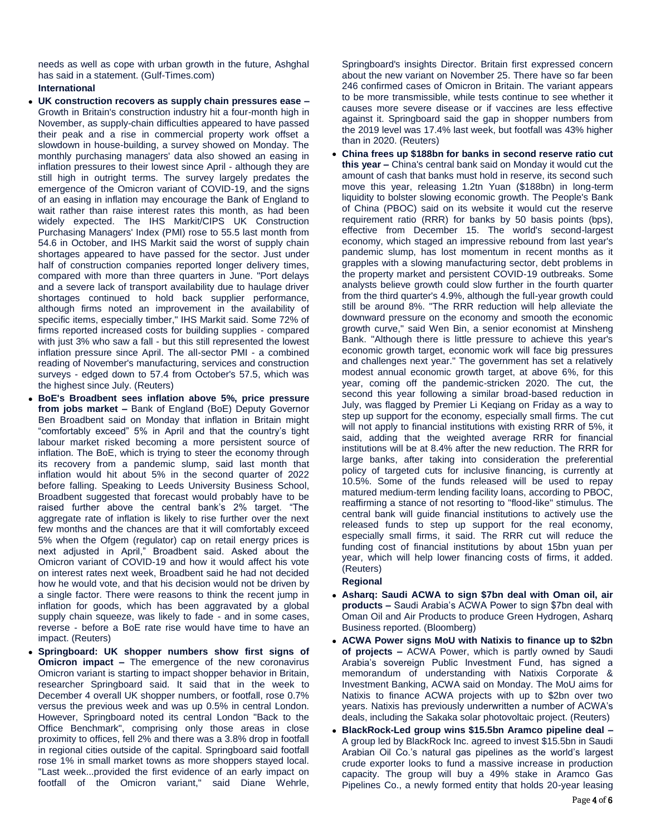needs as well as cope with urban growth in the future, Ashghal has said in a statement. (Gulf-Times.com)

# **International**

- **UK construction recovers as supply chain pressures ease –** Growth in Britain's construction industry hit a four-month high in November, as supply-chain difficulties appeared to have passed their peak and a rise in commercial property work offset a slowdown in house-building, a survey showed on Monday. The monthly purchasing managers' data also showed an easing in inflation pressures to their lowest since April - although they are still high in outright terms. The survey largely predates the emergence of the Omicron variant of COVID-19, and the signs of an easing in inflation may encourage the Bank of England to wait rather than raise interest rates this month, as had been widely expected. The IHS Markit/CIPS UK Construction Purchasing Managers' Index (PMI) rose to 55.5 last month from 54.6 in October, and IHS Markit said the worst of supply chain shortages appeared to have passed for the sector. Just under half of construction companies reported longer delivery times, compared with more than three quarters in June. "Port delays and a severe lack of transport availability due to haulage driver shortages continued to hold back supplier performance, although firms noted an improvement in the availability of specific items, especially timber," IHS Markit said. Some 72% of firms reported increased costs for building supplies - compared with just 3% who saw a fall - but this still represented the lowest inflation pressure since April. The all-sector PMI - a combined reading of November's manufacturing, services and construction surveys - edged down to 57.4 from October's 57.5, which was the highest since July. (Reuters)
- **BoE's Broadbent sees inflation above 5%, price pressure from jobs market –** Bank of England (BoE) Deputy Governor Ben Broadbent said on Monday that inflation in Britain might "comfortably exceed" 5% in April and that the country's tight labour market risked becoming a more persistent source of inflation. The BoE, which is trying to steer the economy through its recovery from a pandemic slump, said last month that inflation would hit about 5% in the second quarter of 2022 before falling. Speaking to Leeds University Business School, Broadbent suggested that forecast would probably have to be raised further above the central bank's 2% target. "The aggregate rate of inflation is likely to rise further over the next few months and the chances are that it will comfortably exceed 5% when the Ofgem (regulator) cap on retail energy prices is next adjusted in April," Broadbent said. Asked about the Omicron variant of COVID-19 and how it would affect his vote on interest rates next week, Broadbent said he had not decided how he would vote, and that his decision would not be driven by a single factor. There were reasons to think the recent jump in inflation for goods, which has been aggravated by a global supply chain squeeze, was likely to fade - and in some cases, reverse - before a BoE rate rise would have time to have an impact. (Reuters)
- **Springboard: UK shopper numbers show first signs of Omicron impact –** The emergence of the new coronavirus Omicron variant is starting to impact shopper behavior in Britain, researcher Springboard said. It said that in the week to December 4 overall UK shopper numbers, or footfall, rose 0.7% versus the previous week and was up 0.5% in central London. However, Springboard noted its central London "Back to the Office Benchmark", comprising only those areas in close proximity to offices, fell 2% and there was a 3.8% drop in footfall in regional cities outside of the capital. Springboard said footfall rose 1% in small market towns as more shoppers stayed local. "Last week...provided the first evidence of an early impact on footfall of the Omicron variant," said Diane Wehrle,

Springboard's insights Director. Britain first expressed concern about the new variant on November 25. There have so far been 246 confirmed cases of Omicron in Britain. The variant appears to be more transmissible, while tests continue to see whether it causes more severe disease or if vaccines are less effective against it. Springboard said the gap in shopper numbers from the 2019 level was 17.4% last week, but footfall was 43% higher than in 2020. (Reuters)

 **China frees up \$188bn for banks in second reserve ratio cut this year –** China's central bank said on Monday it would cut the amount of cash that banks must hold in reserve, its second such move this year, releasing 1.2tn Yuan (\$188bn) in long-term liquidity to bolster slowing economic growth. The People's Bank of China (PBOC) said on its website it would cut the reserve requirement ratio (RRR) for banks by 50 basis points (bps), effective from December 15. The world's second-largest economy, which staged an impressive rebound from last year's pandemic slump, has lost momentum in recent months as it grapples with a slowing manufacturing sector, debt problems in the property market and persistent COVID-19 outbreaks. Some analysts believe growth could slow further in the fourth quarter from the third quarter's 4.9%, although the full-year growth could still be around 8%. "The RRR reduction will help alleviate the downward pressure on the economy and smooth the economic growth curve," said Wen Bin, a senior economist at Minsheng Bank. "Although there is little pressure to achieve this year's economic growth target, economic work will face big pressures and challenges next year." The government has set a relatively modest annual economic growth target, at above 6%, for this year, coming off the pandemic-stricken 2020. The cut, the second this year following a similar broad-based reduction in July, was flagged by Premier Li Keqiang on Friday as a way to step up support for the economy, especially small firms. The cut will not apply to financial institutions with existing RRR of 5%, it said, adding that the weighted average RRR for financial institutions will be at 8.4% after the new reduction. The RRR for large banks, after taking into consideration the preferential policy of targeted cuts for inclusive financing, is currently at 10.5%. Some of the funds released will be used to repay matured medium-term lending facility loans, according to PBOC, reaffirming a stance of not resorting to "flood-like" stimulus. The central bank will guide financial institutions to actively use the released funds to step up support for the real economy, especially small firms, it said. The RRR cut will reduce the funding cost of financial institutions by about 15bn yuan per year, which will help lower financing costs of firms, it added. (Reuters)

### **Regional**

- **Asharq: Saudi ACWA to sign \$7bn deal with Oman oil, air products –** Saudi Arabia's ACWA Power to sign \$7bn deal with Oman Oil and Air Products to produce Green Hydrogen, Asharq Business reported. (Bloomberg)
- **ACWA Power signs MoU with Natixis to finance up to \$2bn of projects –** ACWA Power, which is partly owned by Saudi Arabia's sovereign Public Investment Fund, has signed a memorandum of understanding with Natixis Corporate & Investment Banking, ACWA said on Monday. The MoU aims for Natixis to finance ACWA projects with up to \$2bn over two years. Natixis has previously underwritten a number of ACWA's deals, including the Sakaka solar photovoltaic project. (Reuters)
- **BlackRock-Led group wins \$15.5bn Aramco pipeline deal –** A group led by BlackRock Inc. agreed to invest \$15.5bn in Saudi Arabian Oil Co.'s natural gas pipelines as the world's largest crude exporter looks to fund a massive increase in production capacity. The group will buy a 49% stake in Aramco Gas Pipelines Co., a newly formed entity that holds 20-year leasing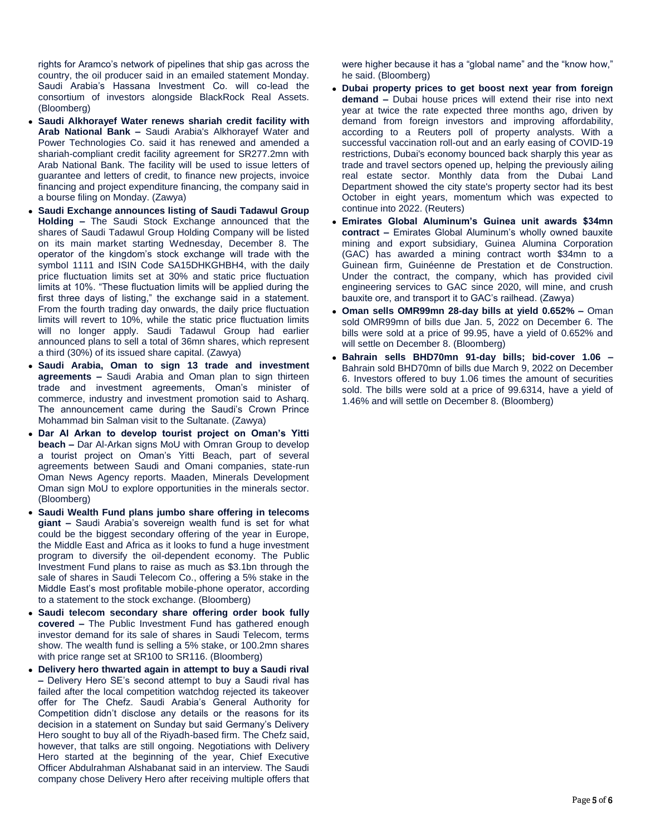rights for Aramco's network of pipelines that ship gas across the country, the oil producer said in an emailed statement Monday. Saudi Arabia's Hassana Investment Co. will co-lead the consortium of investors alongside BlackRock Real Assets. (Bloomberg)

- **Saudi Alkhorayef Water renews shariah credit facility with Arab National Bank –** Saudi Arabia's Alkhorayef Water and Power Technologies Co. said it has renewed and amended a shariah-compliant credit facility agreement for SR277.2mn with Arab National Bank. The facility will be used to issue letters of guarantee and letters of credit, to finance new projects, invoice financing and project expenditure financing, the company said in a bourse filing on Monday. (Zawya)
- **Saudi Exchange announces listing of Saudi Tadawul Group Holding –** The Saudi Stock Exchange announced that the shares of Saudi Tadawul Group Holding Company will be listed on its main market starting Wednesday, December 8. The operator of the kingdom's stock exchange will trade with the symbol 1111 and ISIN Code SA15DHKGHBH4, with the daily price fluctuation limits set at 30% and static price fluctuation limits at 10%. "These fluctuation limits will be applied during the first three days of listing," the exchange said in a statement. From the fourth trading day onwards, the daily price fluctuation limits will revert to 10%, while the static price fluctuation limits will no longer apply. Saudi Tadawul Group had earlier announced plans to sell a total of 36mn shares, which represent a third (30%) of its issued share capital. (Zawya)
- **Saudi Arabia, Oman to sign 13 trade and investment agreements –** Saudi Arabia and Oman plan to sign thirteen trade and investment agreements, Oman's minister of commerce, industry and investment promotion said to Asharq. The announcement came during the Saudi's Crown Prince Mohammad bin Salman visit to the Sultanate. (Zawya)
- **Dar Al Arkan to develop tourist project on Oman's Yitti beach –** Dar Al-Arkan signs MoU with Omran Group to develop a tourist project on Oman's Yitti Beach, part of several agreements between Saudi and Omani companies, state-run Oman News Agency reports. Maaden, Minerals Development Oman sign MoU to explore opportunities in the minerals sector. (Bloomberg)
- **Saudi Wealth Fund plans jumbo share offering in telecoms giant –** Saudi Arabia's sovereign wealth fund is set for what could be the biggest secondary offering of the year in Europe, the Middle East and Africa as it looks to fund a huge investment program to diversify the oil-dependent economy. The Public Investment Fund plans to raise as much as \$3.1bn through the sale of shares in Saudi Telecom Co., offering a 5% stake in the Middle East's most profitable mobile-phone operator, according to a statement to the stock exchange. (Bloomberg)
- **Saudi telecom secondary share offering order book fully covered –** The Public Investment Fund has gathered enough investor demand for its sale of shares in Saudi Telecom, terms show. The wealth fund is selling a 5% stake, or 100.2mn shares with price range set at SR100 to SR116. (Bloomberg)
- **Delivery hero thwarted again in attempt to buy a Saudi rival –** Delivery Hero SE's second attempt to buy a Saudi rival has failed after the local competition watchdog rejected its takeover offer for The Chefz. Saudi Arabia's General Authority for Competition didn't disclose any details or the reasons for its decision in a statement on Sunday but said Germany's Delivery Hero sought to buy all of the Riyadh-based firm. The Chefz said, however, that talks are still ongoing. Negotiations with Delivery Hero started at the beginning of the year, Chief Executive Officer Abdulrahman Alshabanat said in an interview. The Saudi company chose Delivery Hero after receiving multiple offers that

were higher because it has a "global name" and the "know how," he said. (Bloomberg)

- **Dubai property prices to get boost next year from foreign demand –** Dubai house prices will extend their rise into next year at twice the rate expected three months ago, driven by demand from foreign investors and improving affordability, according to a Reuters poll of property analysts. With a successful vaccination roll-out and an early easing of COVID-19 restrictions, Dubai's economy bounced back sharply this year as trade and travel sectors opened up, helping the previously ailing real estate sector. Monthly data from the Dubai Land Department showed the city state's property sector had its best October in eight years, momentum which was expected to continue into 2022. (Reuters)
- **Emirates Global Aluminum's Guinea unit awards \$34mn contract –** Emirates Global Aluminum's wholly owned bauxite mining and export subsidiary, Guinea Alumina Corporation (GAC) has awarded a mining contract worth \$34mn to a Guinean firm, Guinéenne de Prestation et de Construction. Under the contract, the company, which has provided civil engineering services to GAC since 2020, will mine, and crush bauxite ore, and transport it to GAC's railhead. (Zawya)
- **Oman sells OMR99mn 28-day bills at yield 0.652% –** Oman sold OMR99mn of bills due Jan. 5, 2022 on December 6. The bills were sold at a price of 99.95, have a yield of 0.652% and will settle on December 8. (Bloomberg)
- **Bahrain sells BHD70mn 91-day bills; bid-cover 1.06 –** Bahrain sold BHD70mn of bills due March 9, 2022 on December 6. Investors offered to buy 1.06 times the amount of securities sold. The bills were sold at a price of 99.6314, have a yield of 1.46% and will settle on December 8. (Bloomberg)